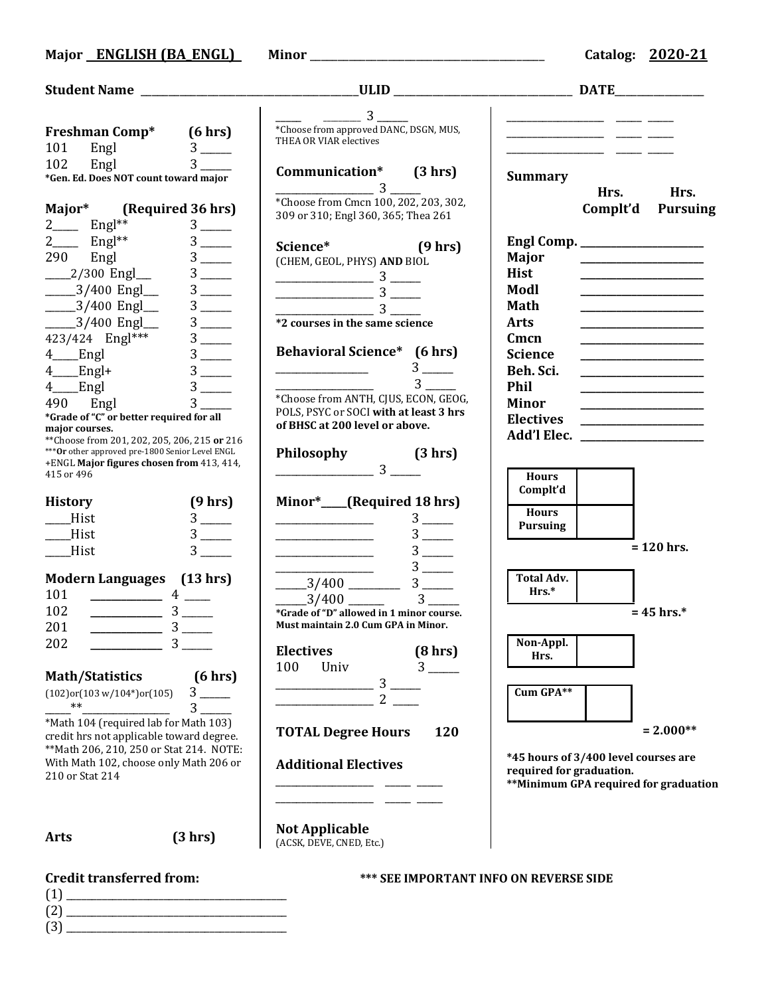|                                               |                                                                                                   | $\overline{\phantom{0}} \quad - \quad 3 \overline{\phantom{0}}$                                                                                                                                                                                                                                                     |                                      |                                                         |
|-----------------------------------------------|---------------------------------------------------------------------------------------------------|---------------------------------------------------------------------------------------------------------------------------------------------------------------------------------------------------------------------------------------------------------------------------------------------------------------------|--------------------------------------|---------------------------------------------------------|
|                                               | Freshman Comp* (6 hrs)                                                                            | *Choose from approved DANC, DSGN, MUS,                                                                                                                                                                                                                                                                              |                                      |                                                         |
| 101                                           | Engl $3 \quad \text{---}$                                                                         | THEA OR VIAR electives                                                                                                                                                                                                                                                                                              |                                      |                                                         |
| 102                                           | Engl<br>$3 \qquad \qquad$                                                                         | Communication* (3 hrs)                                                                                                                                                                                                                                                                                              |                                      |                                                         |
|                                               | *Gen. Ed. Does NOT count toward major                                                             | $\sim$ 3 $\sim$                                                                                                                                                                                                                                                                                                     | <b>Summary</b>                       |                                                         |
|                                               |                                                                                                   | *Choose from Cmcn 100, 202, 203, 302,                                                                                                                                                                                                                                                                               |                                      | Hrs. Hrs.                                               |
|                                               | Major* (Required 36 hrs)                                                                          | 309 or 310; Engl 360, 365; Thea 261                                                                                                                                                                                                                                                                                 |                                      | Complt'd<br><b>Pursuing</b>                             |
| $2 \_\_\_\_$ Engl <sup>**</sup>               | $3$ —                                                                                             |                                                                                                                                                                                                                                                                                                                     |                                      |                                                         |
| $\frac{2}{2}$ Engl <sup>**</sup>              |                                                                                                   | Science* (9 hrs)                                                                                                                                                                                                                                                                                                    |                                      |                                                         |
| 290 Engl                                      | $3$ —                                                                                             | (CHEM, GEOL, PHYS) AND BIOL                                                                                                                                                                                                                                                                                         | Major                                |                                                         |
| $2/300$ Engl                                  | $3$ —                                                                                             | $\frac{1}{2}$ $\frac{1}{2}$ $\frac{1}{2}$ $\frac{1}{2}$ $\frac{1}{2}$ $\frac{1}{2}$ $\frac{1}{2}$ $\frac{1}{2}$ $\frac{1}{2}$ $\frac{1}{2}$ $\frac{1}{2}$ $\frac{1}{2}$ $\frac{1}{2}$ $\frac{1}{2}$ $\frac{1}{2}$ $\frac{1}{2}$ $\frac{1}{2}$ $\frac{1}{2}$ $\frac{1}{2}$ $\frac{1}{2}$ $\frac{1}{2}$ $\frac{1}{2}$ | <b>Hist</b><br>Modl                  |                                                         |
| _____3/400 Engl__                             | $3$ —                                                                                             | $\frac{1}{3}$                                                                                                                                                                                                                                                                                                       |                                      | <u> 1989 - Johann Barbara, martin amerikan basar da</u> |
| $-3/400$ Engl<br>$-3/400$ Engl                | $3$ —                                                                                             |                                                                                                                                                                                                                                                                                                                     | Math<br><b>Arts</b>                  |                                                         |
|                                               | $3$ —                                                                                             | *2 courses in the same science                                                                                                                                                                                                                                                                                      | Cmcn                                 |                                                         |
| 423/424 Engl***<br>4_Ringl                    | $3$ —                                                                                             | <b>Behavioral Science*</b> (6 hrs)                                                                                                                                                                                                                                                                                  | <b>Science</b>                       |                                                         |
|                                               |                                                                                                   | $3$ —                                                                                                                                                                                                                                                                                                               | Beh. Sci.                            |                                                         |
| $4$ Engl+<br>$4$ <sub>____</sub> Engl         | $3$ —                                                                                             | $3^{\circ}$                                                                                                                                                                                                                                                                                                         | Phil                                 |                                                         |
| 490 Engl                                      | 3 <sup>7</sup>                                                                                    | *Choose from ANTH, CJUS, ECON, GEOG,                                                                                                                                                                                                                                                                                | <b>Minor</b>                         |                                                         |
|                                               | *Grade of "C" or better required for all                                                          | POLS, PSYC or SOCI with at least 3 hrs                                                                                                                                                                                                                                                                              | <b>Electives</b>                     | <u> 1989 - Johann Barbara, martxa eta politikar</u>     |
| major courses.                                |                                                                                                   | of BHSC at 200 level or above.                                                                                                                                                                                                                                                                                      |                                      |                                                         |
|                                               | ** Choose from 201, 202, 205, 206, 215 or 216<br>*** Or other approved pre-1800 Senior Level ENGL |                                                                                                                                                                                                                                                                                                                     |                                      |                                                         |
|                                               | +ENGL Major figures chosen from 413, 414,                                                         | Philosophy $(3 \text{ hrs})$<br>$3 \underline{\hspace{1cm}}$ $3 \underline{\hspace{1cm}}$                                                                                                                                                                                                                           |                                      |                                                         |
| 415 or 496                                    |                                                                                                   |                                                                                                                                                                                                                                                                                                                     | <b>Hours</b>                         |                                                         |
| <b>History</b>                                | (9 hrs)                                                                                           | Minor*___(Required 18 hrs)                                                                                                                                                                                                                                                                                          | Complt'd                             |                                                         |
| Hist                                          |                                                                                                   | $3$ —                                                                                                                                                                                                                                                                                                               | <b>Hours</b>                         |                                                         |
| <b>Hist</b>                                   | $3$ —                                                                                             |                                                                                                                                                                                                                                                                                                                     | <b>Pursuing</b>                      |                                                         |
| $_{\text{}}$ Hist                             |                                                                                                   | $3$ —                                                                                                                                                                                                                                                                                                               |                                      | $= 120$ hrs.                                            |
|                                               |                                                                                                   |                                                                                                                                                                                                                                                                                                                     |                                      |                                                         |
|                                               | Modern Languages (13 hrs)                                                                         | $3$ —<br>$\frac{3}{400}$                                                                                                                                                                                                                                                                                            | <b>Total Adv.</b>                    |                                                         |
| 101                                           |                                                                                                   | $3^{\circ}$<br>$-3/400$ $-$                                                                                                                                                                                                                                                                                         | $Hrs.*$                              |                                                         |
| 102                                           | $\frac{1}{3}$                                                                                     | *Grade of "D" allowed in 1 minor course.                                                                                                                                                                                                                                                                            |                                      | $= 45$ hrs.*                                            |
| 201                                           |                                                                                                   | <b>Must maintain 2.0 Cum GPA in Minor.</b>                                                                                                                                                                                                                                                                          |                                      |                                                         |
| 202                                           | $\overline{3}$                                                                                    | <b>Electives</b><br>(8 hrs)                                                                                                                                                                                                                                                                                         | Non-Appl.                            |                                                         |
|                                               |                                                                                                   | $3^{\circ}$<br>100<br>Univ                                                                                                                                                                                                                                                                                          | Hrs.                                 |                                                         |
| <b>Math/Statistics</b>                        | (6 hrs)                                                                                           | $3\overline{)}$                                                                                                                                                                                                                                                                                                     |                                      |                                                         |
| $(102)$ or $(103 \text{ w}/104^*)$ or $(105)$ |                                                                                                   | $2^{\circ}$                                                                                                                                                                                                                                                                                                         | Cum GPA**                            |                                                         |
| $***$                                         | $3 \quad \blacksquare$                                                                            |                                                                                                                                                                                                                                                                                                                     |                                      |                                                         |
|                                               | *Math 104 (required lab for Math 103)<br>credit hrs not applicable toward degree.                 | <b>TOTAL Degree Hours</b><br>120                                                                                                                                                                                                                                                                                    |                                      | $= 2.000**$                                             |
|                                               | ** Math 206, 210, 250 or Stat 214. NOTE:                                                          |                                                                                                                                                                                                                                                                                                                     |                                      |                                                         |
| With Math 102, choose only Math 206 or        |                                                                                                   | <b>Additional Electives</b>                                                                                                                                                                                                                                                                                         | *45 hours of 3/400 level courses are |                                                         |
| 210 or Stat 214                               |                                                                                                   |                                                                                                                                                                                                                                                                                                                     | required for graduation.             | **Minimum GPA required for graduation                   |
|                                               |                                                                                                   |                                                                                                                                                                                                                                                                                                                     |                                      |                                                         |
|                                               |                                                                                                   |                                                                                                                                                                                                                                                                                                                     |                                      |                                                         |
|                                               |                                                                                                   | <b>Not Applicable</b>                                                                                                                                                                                                                                                                                               |                                      |                                                         |
| <b>Arts</b>                                   | (3 hr)                                                                                            | (ACSK, DEVE, CNED, Etc.)                                                                                                                                                                                                                                                                                            |                                      |                                                         |
|                                               |                                                                                                   |                                                                                                                                                                                                                                                                                                                     |                                      |                                                         |
| <b>Credit transferred from:</b>               |                                                                                                   | <b>*** SEE IMPORTANT INFO ON REVERSE SIDE</b>                                                                                                                                                                                                                                                                       |                                      |                                                         |

- (1) \_\_\_\_\_\_\_\_\_\_\_\_\_\_\_\_\_\_\_\_\_\_\_\_\_\_\_\_\_\_\_\_\_\_\_\_\_\_\_\_\_\_\_ (2) \_\_\_\_\_\_\_\_\_\_\_\_\_\_\_\_\_\_\_\_\_\_\_\_\_\_\_\_\_\_\_\_\_\_\_\_\_\_\_\_\_\_\_
- (3) \_\_\_\_\_\_\_\_\_\_\_\_\_\_\_\_\_\_\_\_\_\_\_\_\_\_\_\_\_\_\_\_\_\_\_\_\_\_\_\_\_\_\_